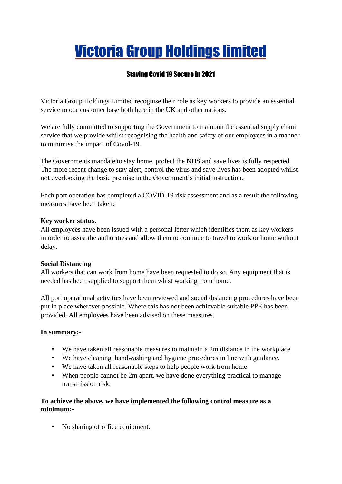# Victoria Group Holdings limited

# Staying Covid 19 Secure in 2021

Victoria Group Holdings Limited recognise their role as key workers to provide an essential service to our customer base both here in the UK and other nations.

We are fully committed to supporting the Government to maintain the essential supply chain service that we provide whilst recognising the health and safety of our employees in a manner to minimise the impact of Covid-19.

The Governments mandate to stay home, protect the NHS and save lives is fully respected. The more recent change to stay alert, control the virus and save lives has been adopted whilst not overlooking the basic premise in the Government's initial instruction.

Each port operation has completed a COVID-19 risk assessment and as a result the following measures have been taken:

#### **Key worker status.**

All employees have been issued with a personal letter which identifies them as key workers in order to assist the authorities and allow them to continue to travel to work or home without delay.

#### **Social Distancing**

All workers that can work from home have been requested to do so. Any equipment that is needed has been supplied to support them whist working from home.

All port operational activities have been reviewed and social distancing procedures have been put in place wherever possible. Where this has not been achievable suitable PPE has been provided. All employees have been advised on these measures.

#### **In summary:-**

- We have taken all reasonable measures to maintain a 2m distance in the workplace
- We have cleaning, handwashing and hygiene procedures in line with guidance.
- We have taken all reasonable steps to help people work from home
- When people cannot be 2m apart, we have done everything practical to manage transmission risk.

## **To achieve the above, we have implemented the following control measure as a minimum:-**

• No sharing of office equipment.